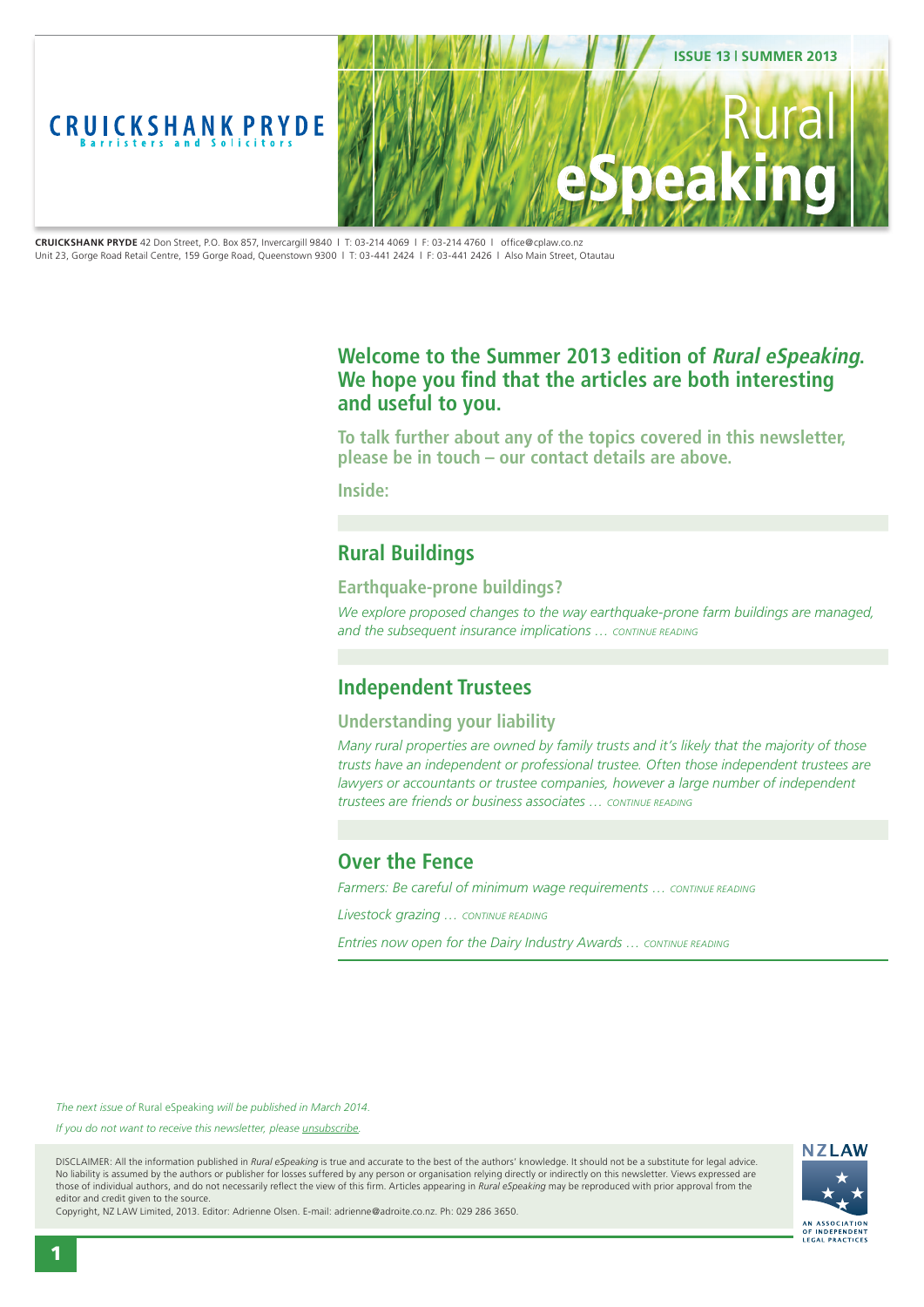<span id="page-0-0"></span>

**CRUICKSHANK PRYDE** 42 Don Street, P.O. Box 857, Invercargill 9840 | T: 03-214 4069 | F: 03-214 4760 | office@cplaw.co.nz Unit 23, Gorge Road Retail Centre, 159 Gorge Road, Queenstown 9300 | T: 03-441 2424 | F: 03-441 2426 | Also Main Street, Otautau

### **Welcome to the Summer 2013 edition of Rural eSpeaking. We hope you find that the articles are both interesting and useful to you.**

**To talk further about any of the topics covered in this newsletter, please be in touch – our contact details are above.**

**Inside:**

# **[Rural Buildings](#page-1-0)**

#### **[Earthquake-prone buildings?](#page-1-0)**

*[We explore proposed changes to the way earthquake-prone farm buildings are managed,](#page-1-0)  [and the subsequent insurance implications … CONTINUE READING](#page-1-0)*

# **[Independent Trustees](#page-2-0)**

### **[Understanding your liability](#page-2-0)**

*[Many rural properties are owned by family trusts and it's likely that the majority of those](#page-2-0)  [trusts have an independent or professional trustee. Often those independent trustees are](#page-2-0)  [lawyers or accountants or trustee companies, however a large number of independent](#page-2-0)  [trustees are friends or business associates … CONTINUE READING](#page-2-0)*

### **[Over the Fence](#page-3-0)**

*Farmers: Be careful of minimum wage requirements ... CONTINUE READING* 

*[Livestock grazing … CONTINUE READING](#page-3-0)*

*Entries now open for the Dairy Industry Awards ... CONTINUE READING* 

*The next issue of* Rural eSpeaking *will be published in March 2014.*

*If you do not want to receive this newsletter, please <u>unsubscribe</u>.* 

DISCLAIMER: All the information published in *Rural eSpeaking* is true and accurate to the best of the authors' knowledge. It should not be a substitute for legal advice. No liability is assumed by the authors or publisher for losses suffered by any person or organisation relying directly or indirectly on this newsletter. Views expressed are those of individual authors, and do not necessarily reflect the view of this firm. Articles appearing in *Rural eSpeaking* may be reproduced with prior approval from the editor and credit given to the source.



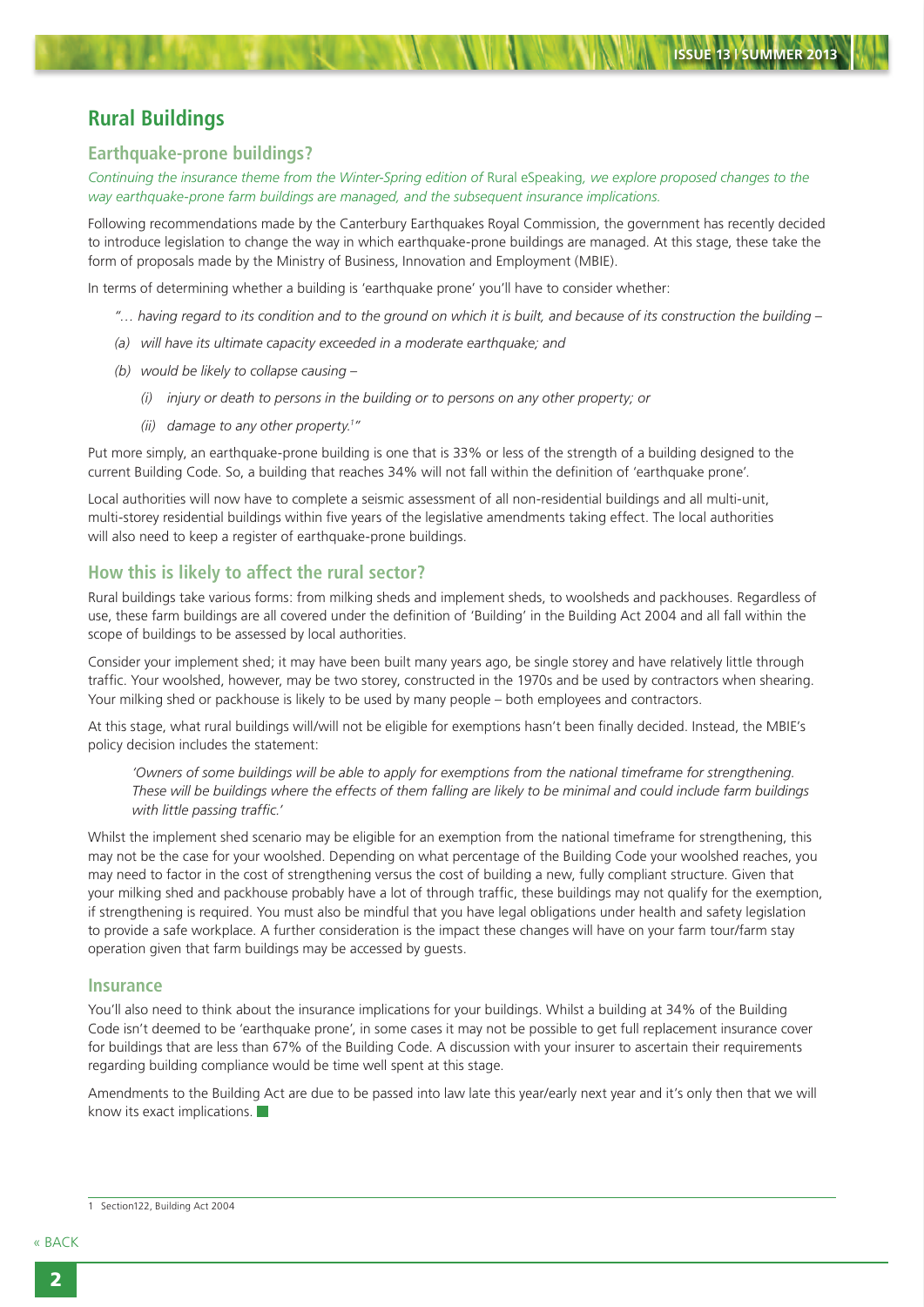# <span id="page-1-0"></span>**Rural Buildings**

#### **Earthquake-prone buildings?**

*Continuing the insurance theme from the Winter-Spring edition of* Rural eSpeaking*, we explore proposed changes to the way earthquake-prone farm buildings are managed, and the subsequent insurance implications.*

Following recommendations made by the Canterbury Earthquakes Royal Commission, the government has recently decided to introduce legislation to change the way in which earthquake-prone buildings are managed. At this stage, these take the form of proposals made by the Ministry of Business, Innovation and Employment (MBIE).

In terms of determining whether a building is 'earthquake prone' you'll have to consider whether:

- *"… having regard to its condition and to the ground on which it is built, and because of its construction the building –*
- *(a) will have its ultimate capacity exceeded in a moderate earthquake; and*
- *(b) would be likely to collapse causing –*
	- *(i) injury or death to persons in the building or to persons on any other property; or*
	- *(ii) damage to any other property.1 "*

Put more simply, an earthquake-prone building is one that is 33% or less of the strength of a building designed to the current Building Code. So, a building that reaches 34% will not fall within the definition of 'earthquake prone'.

Local authorities will now have to complete a seismic assessment of all non-residential buildings and all multi-unit, multi-storey residential buildings within five years of the legislative amendments taking effect. The local authorities will also need to keep a register of earthquake-prone buildings.

### **How this is likely to affect the rural sector?**

Rural buildings take various forms: from milking sheds and implement sheds, to woolsheds and packhouses. Regardless of use, these farm buildings are all covered under the definition of 'Building' in the Building Act 2004 and all fall within the scope of buildings to be assessed by local authorities.

Consider your implement shed; it may have been built many years ago, be single storey and have relatively little through traffic. Your woolshed, however, may be two storey, constructed in the 1970s and be used by contractors when shearing. Your milking shed or packhouse is likely to be used by many people – both employees and contractors.

At this stage, what rural buildings will/will not be eligible for exemptions hasn't been finally decided. Instead, the MBIE's policy decision includes the statement:

*'Owners of some buildings will be able to apply for exemptions from the national timeframe for strengthening. These will be buildings where the effects of them falling are likely to be minimal and could include farm buildings with little passing traffic.'*

Whilst the implement shed scenario may be eligible for an exemption from the national timeframe for strengthening, this may not be the case for your woolshed. Depending on what percentage of the Building Code your woolshed reaches, you may need to factor in the cost of strengthening versus the cost of building a new, fully compliant structure. Given that your milking shed and packhouse probably have a lot of through traffic, these buildings may not qualify for the exemption, if strengthening is required. You must also be mindful that you have legal obligations under health and safety legislation to provide a safe workplace. A further consideration is the impact these changes will have on your farm tour/farm stay operation given that farm buildings may be accessed by guests.

#### **Insurance**

You'll also need to think about the insurance implications for your buildings. Whilst a building at 34% of the Building Code isn't deemed to be 'earthquake prone', in some cases it may not be possible to get full replacement insurance cover for buildings that are less than 67% of the Building Code. A discussion with your insurer to ascertain their requirements regarding building compliance would be time well spent at this stage.

Amendments to the Building Act are due to be passed into law late this year/early next year and it's only then that we will know its exact implications.

<sup>1</sup> Section122, Building Act 2004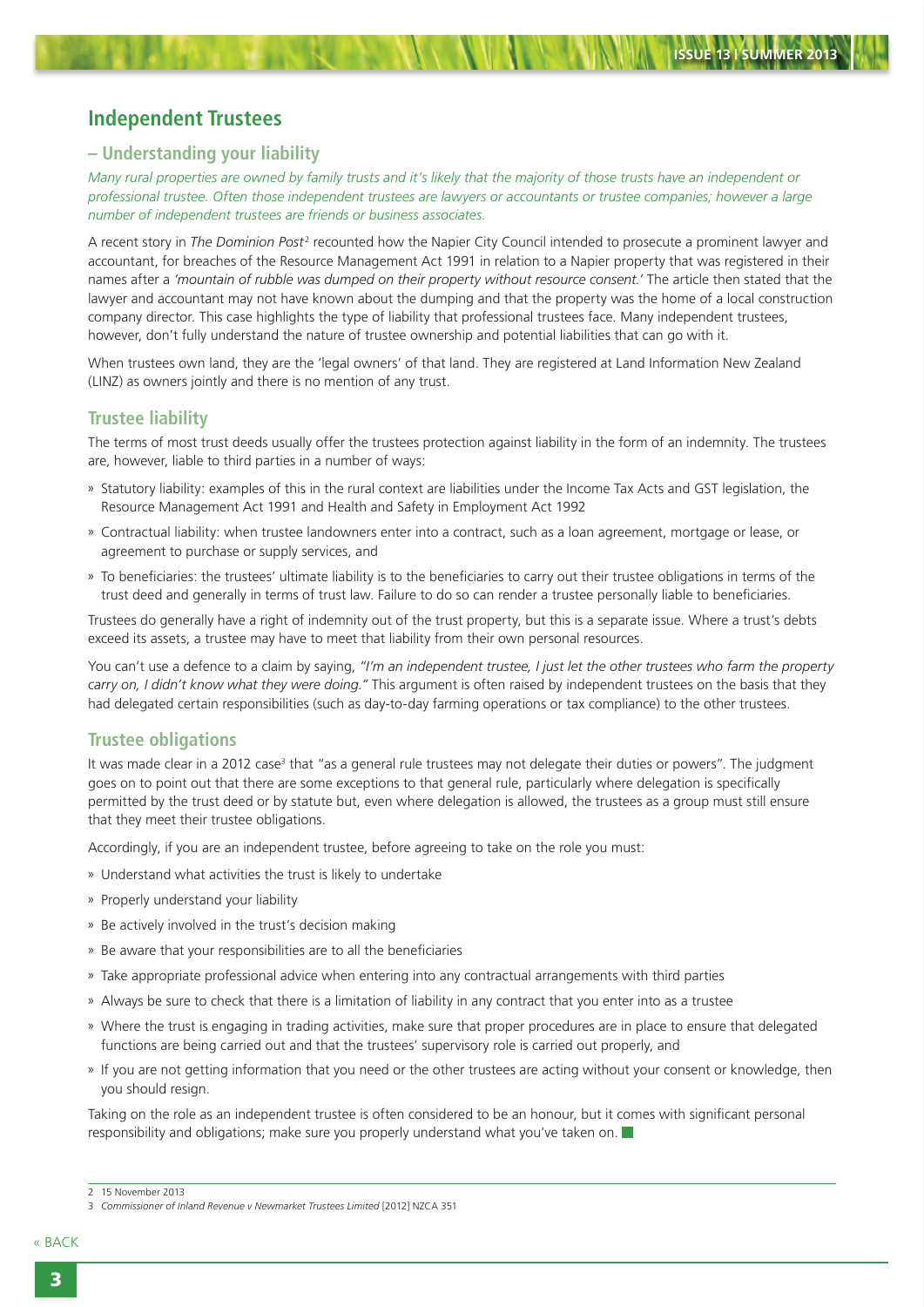## <span id="page-2-0"></span>**Independent Trustees**

#### **– Understanding your liability**

*Many rural properties are owned by family trusts and it's likely that the majority of those trusts have an independent or professional trustee. Often those independent trustees are lawyers or accountants or trustee companies; however a large number of independent trustees are friends or business associates.*

A recent story in The Dominion Post<sup>2</sup> recounted how the Napier City Council intended to prosecute a prominent lawyer and accountant, for breaches of the Resource Management Act 1991 in relation to a Napier property that was registered in their names after a *'mountain of rubble was dumped on their property without resource consent.'* The article then stated that the lawyer and accountant may not have known about the dumping and that the property was the home of a local construction company director. This case highlights the type of liability that professional trustees face. Many independent trustees, however, don't fully understand the nature of trustee ownership and potential liabilities that can go with it.

When trustees own land, they are the 'legal owners' of that land. They are registered at Land Information New Zealand (LINZ) as owners jointly and there is no mention of any trust.

#### **Trustee liability**

The terms of most trust deeds usually offer the trustees protection against liability in the form of an indemnity. The trustees are, however, liable to third parties in a number of ways:

- » Statutory liability: examples of this in the rural context are liabilities under the Income Tax Acts and GST legislation, the Resource Management Act 1991 and Health and Safety in Employment Act 1992
- » Contractual liability: when trustee landowners enter into a contract, such as a loan agreement, mortgage or lease, or agreement to purchase or supply services, and
- » To beneficiaries: the trustees' ultimate liability is to the beneficiaries to carry out their trustee obligations in terms of the trust deed and generally in terms of trust law. Failure to do so can render a trustee personally liable to beneficiaries.

Trustees do generally have a right of indemnity out of the trust property, but this is a separate issue. Where a trust's debts exceed its assets, a trustee may have to meet that liability from their own personal resources.

You can't use a defence to a claim by saying, *"I'm an independent trustee, I just let the other trustees who farm the property carry on, I didn't know what they were doing."* This argument is often raised by independent trustees on the basis that they had delegated certain responsibilities (such as day-to-day farming operations or tax compliance) to the other trustees.

#### **Trustee obligations**

It was made clear in a 2012 case<sup>3</sup> that "as a general rule trustees may not delegate their duties or powers". The judgment goes on to point out that there are some exceptions to that general rule, particularly where delegation is specifically permitted by the trust deed or by statute but, even where delegation is allowed, the trustees as a group must still ensure that they meet their trustee obligations.

Accordingly, if you are an independent trustee, before agreeing to take on the role you must:

- » Understand what activities the trust is likely to undertake
- » Properly understand your liability
- » Be actively involved in the trust's decision making
- » Be aware that your responsibilities are to all the beneficiaries
- » Take appropriate professional advice when entering into any contractual arrangements with third parties
- » Always be sure to check that there is a limitation of liability in any contract that you enter into as a trustee
- » Where the trust is engaging in trading activities, make sure that proper procedures are in place to ensure that delegated functions are being carried out and that the trustees' supervisory role is carried out properly, and
- » If you are not getting information that you need or the other trustees are acting without your consent or knowledge, then you should resign.

Taking on the role as an independent trustee is often considered to be an honour, but it comes with significant personal responsibility and obligations; make sure you properly understand what you've taken on.

<sup>2</sup> 15 November 2013

<sup>3</sup> *Commissioner of Inland Revenue v Newmarket Trustees Limited* [2012] NZCA 351